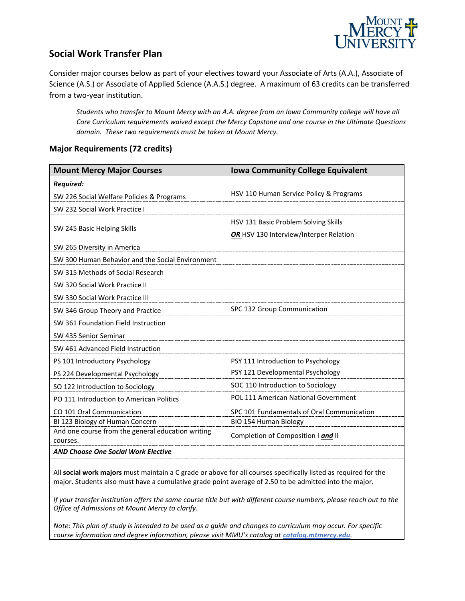

## **Social Work Transfer Plan**

Consider major courses below as part of your electives toward your Associate of Arts (A.A.), Associate of Science (A.S.) or Associate of Applied Science (A.A.S.) degree. A maximum of 63 credits can be transferred from a two-year institution.

*Students who transfer to Mount Mercy with an A.A. degree from an Iowa Community college will have all Core Curriculum requirements waived except the Mercy Capstone and one course in the Ultimate Questions domain. These two requirements must be taken at Mount Mercy.*

#### **Major Requirements (72 credits)**

| <b>Mount Mercy Major Courses</b>                  | <b>Iowa Community College Equivalent</b>   |
|---------------------------------------------------|--------------------------------------------|
| <b>Required:</b>                                  |                                            |
| SW 226 Social Welfare Policies & Programs         | HSV 110 Human Service Policy & Programs    |
| SW 232 Social Work Practice I                     |                                            |
| SW 245 Basic Helping Skills                       | HSV 131 Basic Problem Solving Skills       |
|                                                   | OR HSV 130 Interview/Interper Relation     |
| SW 265 Diversity in America                       |                                            |
| SW 300 Human Behavior and the Social Environment  |                                            |
| SW 315 Methods of Social Research                 |                                            |
| SW 320 Social Work Practice II                    |                                            |
| SW 330 Social Work Practice III                   |                                            |
| SW 346 Group Theory and Practice                  | SPC 132 Group Communication                |
| SW 361 Foundation Field Instruction               |                                            |
| SW 435 Senior Seminar                             |                                            |
| SW 461 Advanced Field Instruction                 |                                            |
| PS 101 Introductory Psychology                    | PSY 111 Introduction to Psychology         |
| PS 224 Developmental Psychology                   | PSY 121 Developmental Psychology           |
| SO 122 Introduction to Sociology                  | SOC 110 Introduction to Sociology          |
| PO 111 Introduction to American Politics          | POL 111 American National Government       |
| CO 101 Oral Communication                         | SPC 101 Fundamentals of Oral Communication |
| BI 123 Biology of Human Concern                   | BIO 154 Human Biology                      |
| And one course from the general education writing | Completion of Composition I and II         |
| courses.                                          |                                            |
| <b>AND Choose One Social Work Elective</b>        |                                            |

All **social work majors** must maintain a C grade or above for all courses specifically listed as required for the major. Students also must have a cumulative grade point average of 2.50 to be admitted into the major.

*If your transfer institution offers the same course title but with different course numbers, please reach out to the Office of Admissions at Mount Mercy to clarify.*

*Note: This plan of study is intended to be used as a guide and changes to curriculum may occur. For specific course information and degree information, please visit MMU's catalog at catalog.mtmercy.edu.*